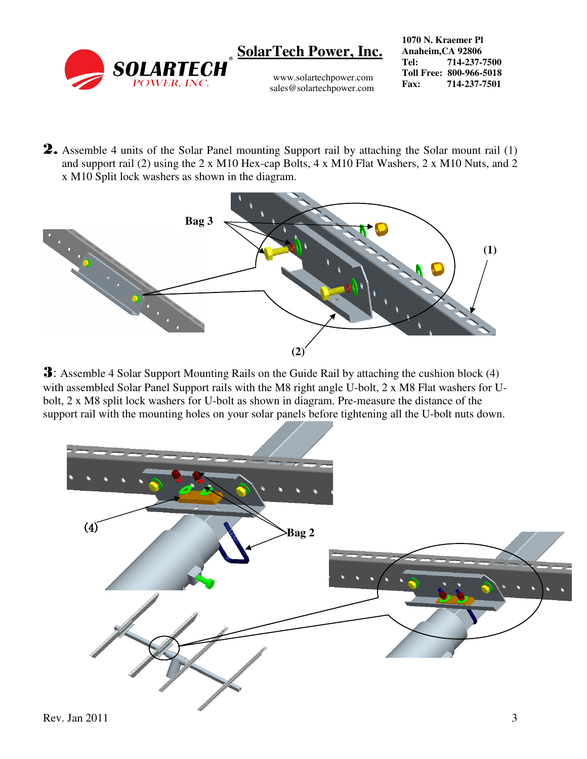

www.solartechpower.com sales@solartechpower.com

**1070 N. Kraemer Pl Anaheim,CA 92806 Tel: 714-237-7500 Toll Free: 800-966-5018 Fax: 714-237-7501**

2. Assemble 4 units of the Solar Panel mounting Support rail by attaching the Solar mount rail (1) and support rail (2) using the 2 x M10 Hex-cap Bolts, 4 x M10 Flat Washers, 2 x M10 Nuts, and 2 x M10 Split lock washers as shown in the diagram.



3: Assemble 4 Solar Support Mounting Rails on the Guide Rail by attaching the cushion block (4) with assembled Solar Panel Support rails with the M8 right angle U-bolt, 2 x M8 Flat washers for Ubolt, 2 x M8 split lock washers for U-bolt as shown in diagram. Pre-measure the distance of the support rail with the mounting holes on your solar panels before tightening all the U-bolt nuts down.

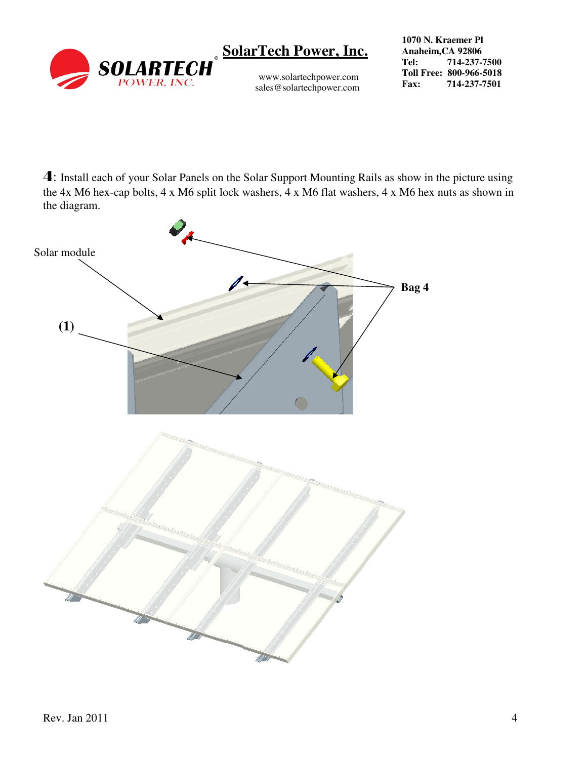

www.solartechpower.com sales@solartechpower.com **1070 N. Kraemer Pl Anaheim,CA 92806 Tel: 714-237-7500 Toll Free: 800-966-5018 Fax: 714-237-7501**

4: Install each of your Solar Panels on the Solar Support Mounting Rails as show in the picture using the 4x M6 hex-cap bolts, 4 x M6 split lock washers, 4 x M6 flat washers, 4 x M6 hex nuts as shown in the diagram.

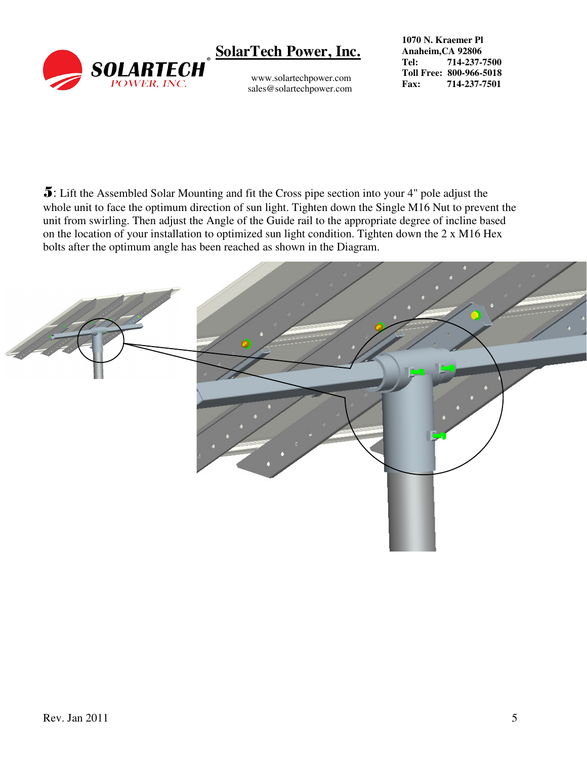

www.solartechpower.com sales@solartechpower.com

**1070 N. Kraemer Pl Anaheim,CA 92806 Tel: 714-237-7500 Toll Free: 800-966-5018 Fax: 714-237-7501**

5: Lift the Assembled Solar Mounting and fit the Cross pipe section into your 4" pole adjust the whole unit to face the optimum direction of sun light. Tighten down the Single M16 Nut to prevent the unit from swirling. Then adjust the Angle of the Guide rail to the appropriate degree of incline based on the location of your installation to optimized sun light condition. Tighten down the 2 x M16 Hex bolts after the optimum angle has been reached as shown in the Diagram.

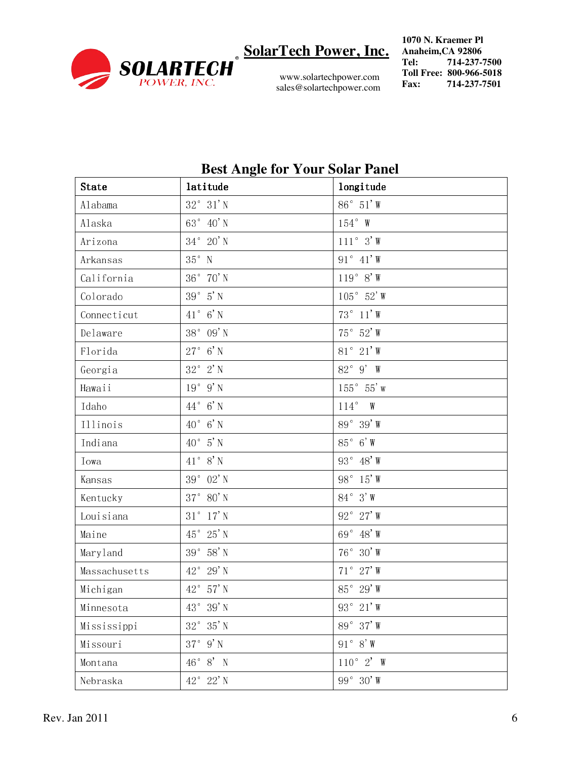

www.solartechpower.com sales@solartechpower.com **1070 N. Kraemer Pl Anaheim,CA 92806 Tel: 714-237-7500 Toll Free: 800-966-5018 Fax: 714-237-7501**

| <b>State</b>  | $\mathbf{\circ}$<br>latitude  | longitude           |
|---------------|-------------------------------|---------------------|
| Alabama       | $32^\circ$ $31'$ N            | $86^\circ$ 51'W     |
| Alaska        | $63^\circ$ 40'N               | $154^{\circ}$ W     |
| Arizona       | $34^\circ$ 20' N              | $111°3'$ W          |
| Arkansas      | $35^{\circ}$ N                | $91° 41'$ W         |
| California    | $36^{\circ}$ $70^{\prime}$ N  | $119°8'$ W          |
| Colorado      | $39^{\,\circ}$ $\,$ 5' N      | $105^\circ$ 52' W   |
| Connecticut   | $41^\circ$ 6'N                | $73^\circ$ 11' W    |
| Delaware      | $38^{\,\circ}\,$ 09' N        | $75^\circ$ 52' W    |
| Florida       | $27^\circ$ 6'N                | $81^\circ~21'$ W    |
| Georgia       | $32^\circ$ 2' N               | 82° 9' W            |
| Hawaii        | $19°9'$ N                     | $155^{\circ}$ 55' w |
| Idaho         | $44^{\circ}$ 6' N             | $114^{\circ}$ W     |
| Illinois      | $40^{\circ}$ 6' N             | $89°39'$ W          |
| Indiana       | $40^{\circ}$ 5' N             | $85^\circ$ 6'W      |
| Iowa          | $41^{\circ}$ 8' N             | $93^\circ$ 48' W    |
| Kansas        | 39 $^{\circ}$ 02' N           | 98° 15' W           |
| Kentucky      | $37^{\circ}$ $80^{\prime}$ N  | $84^{\circ}$ 3'W    |
| Louisiana     | $31^{\circ}$ $17^{\prime}$ N  | $92^\circ$ 27' W    |
| Maine         | $45^{\circ}$ $25^{\prime}$ N  | 69 $^{\circ}$ 48' W |
| Maryland      | $39^{\circ}$ $58^{\prime}$ N  | $76^\circ$ 30'W     |
| Massachusetts | $42^{\circ}$ 29' N            | $71^{\circ}$ 27' W  |
| Michigan      | 42° 57' N                     | 85° 29' W           |
| Minnesota     | $43^{\circ}$ $~39^{\prime}$ N | 93° 21' W           |
| Mississippi   | $32^{\circ}$ $35^{\prime}$ N  | 89° 37' W           |
| Missouri      | $37^\circ$ 9' N               | $91° 8'$ W          |
| Montana       | $46^\circ$ 8' N               | $110^{\circ}$ 2' W  |
| Nebraska      | $42^{\circ}$ $22^{\prime}$ N  | 99 $^{\circ}$ 30'W  |

#### **Best Angle for Your Solar Panel**